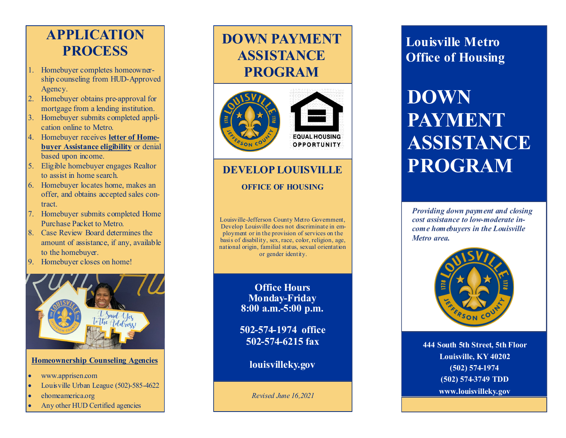### **APPLICATION PROCESS**

- 1. Homebuyer completes homeownership counseling from HUD-Approved Agency.
- 2. Homebuyer obtains pre-approval for mortgage from a lending institution.
- 3. Homebuyer submits completed application online to Metro.
- 4. Homebuyer receives **letter of Homebuyer Assistance eligibility** or denial based upon income.
- 5. Eligible homebuyer engages Realtor to assist in home search.
- 6. Homebuyer locates home, makes an offer, and obtains accepted sales contract.
- 7. Homebuyer submits completed Home Purchase Packet to Metro.
- 8. Case Review Board determines the amount of assistance, if any, available to the homebuyer.
- 9. Homebuyer closes on home!



#### **Homeownership Counseling Agencies**

- www.apprisen.com
- Louisville Urban League (502)-585-4622
- ehomeamerica.org
- Any other HUD Certified agencies

# **DOWN PAYMENT ASSISTANCE PROGRAM**





#### **DEVELOP LOUISVILLE**

#### **OFFICE OF HOUSING**

Louisville -Jefferson County Metro Government, Develop Louisville does not discriminate in employment or in the provision of services on the basis of disability, sex, race, color, religion, age, national origin, familial status, sexual orientation or gender identity.

> **Office Hours Monday-Friday 8:00 a.m. -5:00 p.m.**

**502 -574 -1974 office 502 -574 -6215 fax**

**louisvilleky.gov**

*Revised June 16,2021*

### **Louisville Metro Office of Housing**

# **DOWN PAYMENT ASSISTANCE PROGRAM**

*Providing down payment and closing cost assistance to low-moderate income homebuyers in the Louisville Metro area.*



**444 South 5th Street, 5th Floor Louisville, KY 40202 (502) 574-1974 (502) 574-3749 TDD www.louisvilleky.gov**